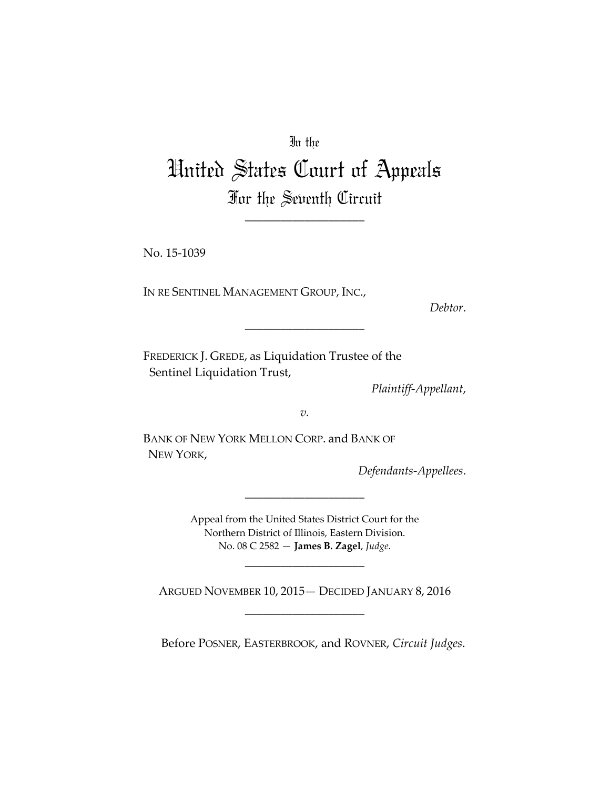In the

## United States Court of Appeals For the Seventh Circuit

\_\_\_\_\_\_\_\_\_\_\_\_\_\_\_\_\_\_\_\_

No. 15-1039

IN RE SENTINEL MANAGEMENT GROUP, INC.,

*Debtor*.

FREDERICK J. GREDE, as Liquidation Trustee of the Sentinel Liquidation Trust,

*Plaintiff-Appellant*,

*v.*

\_\_\_\_\_\_\_\_\_\_\_\_\_\_\_\_\_\_\_\_

BANK OF NEW YORK MELLON CORP. and BANK OF NEW YORK,

*Defendants-Appellees*.

Appeal from the United States District Court for the Northern District of Illinois, Eastern Division. No. 08 C 2582 — **James B. Zagel**, *Judge*.

\_\_\_\_\_\_\_\_\_\_\_\_\_\_\_\_\_\_\_\_

\_\_\_\_\_\_\_\_\_\_\_\_\_\_\_\_\_\_\_\_

ARGUED NOVEMBER 10, 2015— DECIDED JANUARY 8, 2016 \_\_\_\_\_\_\_\_\_\_\_\_\_\_\_\_\_\_\_\_

Before POSNER, EASTERBROOK, and ROVNER, *Circuit Judges*.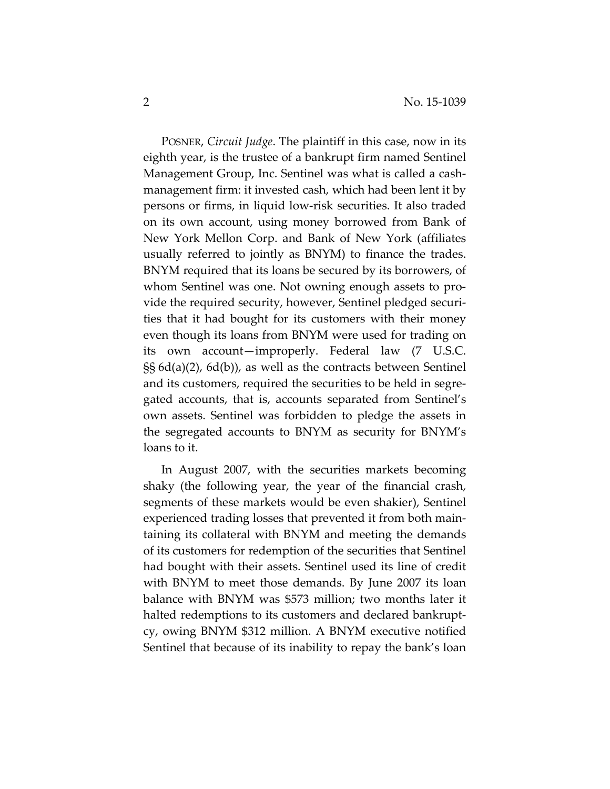POSNER, *Circuit Judge*. The plaintiff in this case, now in its eighth year, is the trustee of a bankrupt firm named Sentinel Management Group, Inc. Sentinel was what is called a cashmanagement firm: it invested cash, which had been lent it by persons or firms, in liquid low-risk securities. It also traded on its own account, using money borrowed from Bank of New York Mellon Corp. and Bank of New York (affiliates usually referred to jointly as BNYM) to finance the trades. BNYM required that its loans be secured by its borrowers, of whom Sentinel was one. Not owning enough assets to provide the required security, however, Sentinel pledged securities that it had bought for its customers with their money even though its loans from BNYM were used for trading on its own account—improperly. Federal law (7 U.S.C. §§ 6d(a)(2), 6d(b)), as well as the contracts between Sentinel and its customers, required the securities to be held in segregated accounts, that is, accounts separated from Sentinel's own assets. Sentinel was forbidden to pledge the assets in the segregated accounts to BNYM as security for BNYM's loans to it.

In August 2007, with the securities markets becoming shaky (the following year, the year of the financial crash, segments of these markets would be even shakier), Sentinel experienced trading losses that prevented it from both maintaining its collateral with BNYM and meeting the demands of its customers for redemption of the securities that Sentinel had bought with their assets. Sentinel used its line of credit with BNYM to meet those demands. By June 2007 its loan balance with BNYM was \$573 million; two months later it halted redemptions to its customers and declared bankruptcy, owing BNYM \$312 million. A BNYM executive notified Sentinel that because of its inability to repay the bank's loan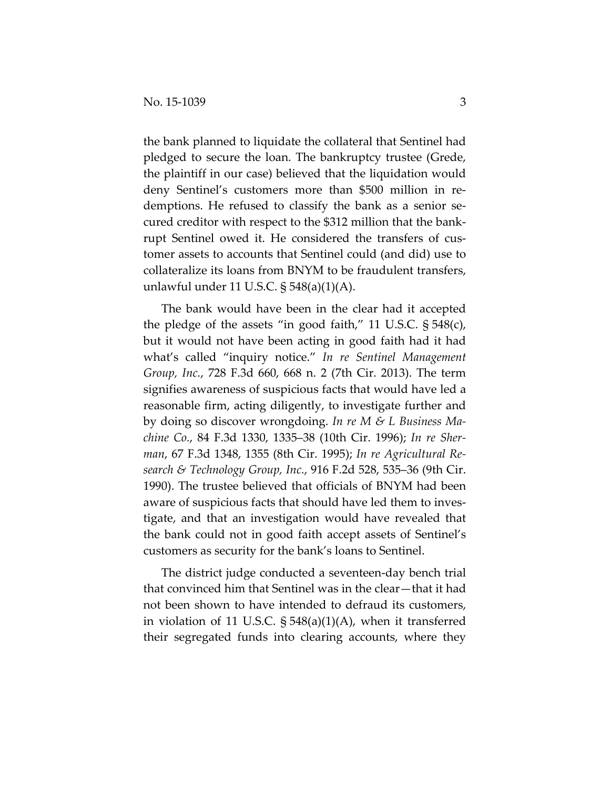the bank planned to liquidate the collateral that Sentinel had pledged to secure the loan. The bankruptcy trustee (Grede, the plaintiff in our case) believed that the liquidation would deny Sentinel's customers more than \$500 million in redemptions. He refused to classify the bank as a senior secured creditor with respect to the \$312 million that the bankrupt Sentinel owed it. He considered the transfers of customer assets to accounts that Sentinel could (and did) use to collateralize its loans from BNYM to be fraudulent transfers, unlawful under 11 U.S.C. § 548(a)(1)(A).

The bank would have been in the clear had it accepted the pledge of the assets "in good faith," 11 U.S.C. § 548(c), but it would not have been acting in good faith had it had what's called "inquiry notice." *In re Sentinel Management Group, Inc.*, 728 F.3d 660, 668 n. 2 (7th Cir. 2013). The term signifies awareness of suspicious facts that would have led a reasonable firm, acting diligently, to investigate further and by doing so discover wrongdoing. *In re M & L Business Machine Co.*, 84 F.3d 1330, 1335–38 (10th Cir. 1996); *In re Sherman*, 67 F.3d 1348, 1355 (8th Cir. 1995); *In re Agricultural Research & Technology Group, Inc.*, 916 F.2d 528, 535–36 (9th Cir. 1990). The trustee believed that officials of BNYM had been aware of suspicious facts that should have led them to investigate, and that an investigation would have revealed that the bank could not in good faith accept assets of Sentinel's customers as security for the bank's loans to Sentinel.

The district judge conducted a seventeen-day bench trial that convinced him that Sentinel was in the clear—that it had not been shown to have intended to defraud its customers, in violation of 11 U.S.C. § 548(a)(1)(A), when it transferred their segregated funds into clearing accounts, where they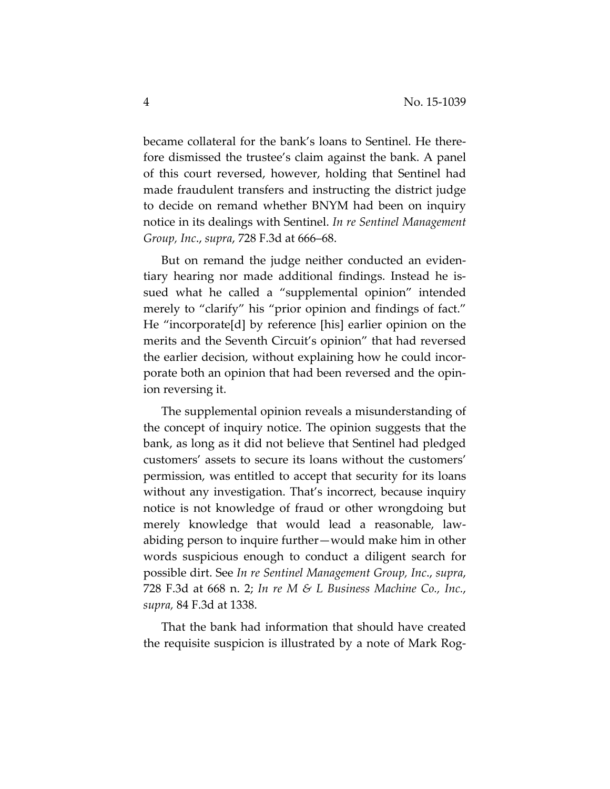became collateral for the bank's loans to Sentinel. He therefore dismissed the trustee's claim against the bank. A panel of this court reversed, however, holding that Sentinel had made fraudulent transfers and instructing the district judge to decide on remand whether BNYM had been on inquiry notice in its dealings with Sentinel. *In re Sentinel Management Group, Inc*., *supra*, 728 F.3d at 666–68.

But on remand the judge neither conducted an evidentiary hearing nor made additional findings. Instead he issued what he called a "supplemental opinion" intended merely to "clarify" his "prior opinion and findings of fact." He "incorporate[d] by reference [his] earlier opinion on the merits and the Seventh Circuit's opinion" that had reversed the earlier decision, without explaining how he could incorporate both an opinion that had been reversed and the opinion reversing it.

The supplemental opinion reveals a misunderstanding of the concept of inquiry notice. The opinion suggests that the bank, as long as it did not believe that Sentinel had pledged customers' assets to secure its loans without the customers' permission, was entitled to accept that security for its loans without any investigation. That's incorrect, because inquiry notice is not knowledge of fraud or other wrongdoing but merely knowledge that would lead a reasonable, lawabiding person to inquire further—would make him in other words suspicious enough to conduct a diligent search for possible dirt. See *In re Sentinel Management Group, Inc*., *supra*, 728 F.3d at 668 n. 2; *In re M & L Business Machine Co., Inc.*, *supra,* 84 F.3d at 1338.

That the bank had information that should have created the requisite suspicion is illustrated by a note of Mark Rog-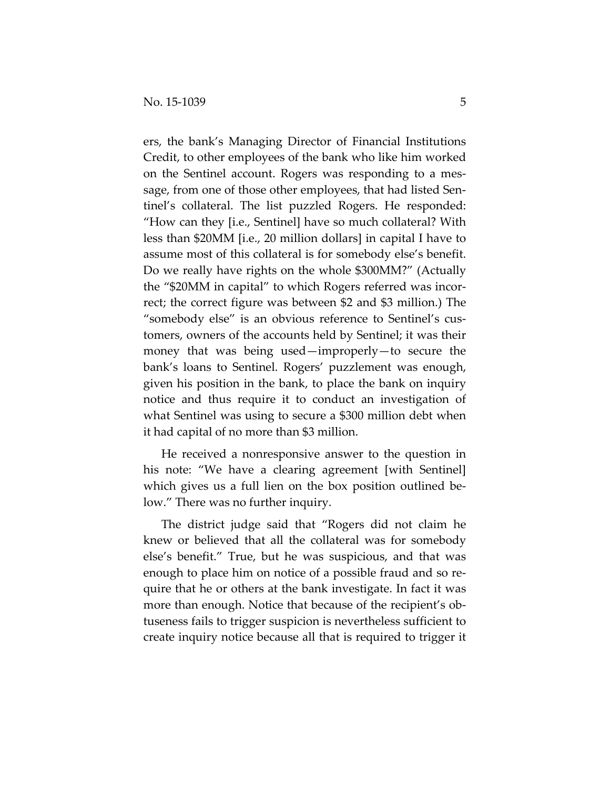ers, the bank's Managing Director of Financial Institutions Credit, to other employees of the bank who like him worked on the Sentinel account. Rogers was responding to a message, from one of those other employees, that had listed Sentinel's collateral. The list puzzled Rogers. He responded: "How can they [i.e., Sentinel] have so much collateral? With less than \$20MM [i.e., 20 million dollars] in capital I have to assume most of this collateral is for somebody else's benefit. Do we really have rights on the whole \$300MM?" (Actually the "\$20MM in capital" to which Rogers referred was incorrect; the correct figure was between \$2 and \$3 million.) The "somebody else" is an obvious reference to Sentinel's customers, owners of the accounts held by Sentinel; it was their money that was being used—improperly—to secure the bank's loans to Sentinel. Rogers' puzzlement was enough, given his position in the bank, to place the bank on inquiry notice and thus require it to conduct an investigation of what Sentinel was using to secure a \$300 million debt when it had capital of no more than \$3 million.

He received a nonresponsive answer to the question in his note: "We have a clearing agreement [with Sentinel] which gives us a full lien on the box position outlined below." There was no further inquiry.

The district judge said that "Rogers did not claim he knew or believed that all the collateral was for somebody else's benefit." True, but he was suspicious, and that was enough to place him on notice of a possible fraud and so require that he or others at the bank investigate. In fact it was more than enough. Notice that because of the recipient's obtuseness fails to trigger suspicion is nevertheless sufficient to create inquiry notice because all that is required to trigger it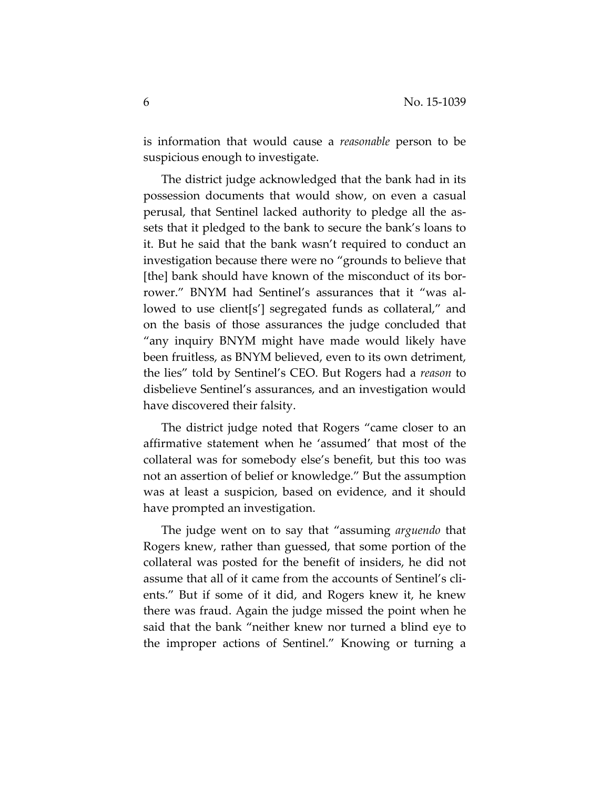is information that would cause a *reasonable* person to be suspicious enough to investigate.

The district judge acknowledged that the bank had in its possession documents that would show, on even a casual perusal, that Sentinel lacked authority to pledge all the assets that it pledged to the bank to secure the bank's loans to it. But he said that the bank wasn't required to conduct an investigation because there were no "grounds to believe that [the] bank should have known of the misconduct of its borrower." BNYM had Sentinel's assurances that it "was allowed to use client[s'] segregated funds as collateral," and on the basis of those assurances the judge concluded that "any inquiry BNYM might have made would likely have been fruitless, as BNYM believed, even to its own detriment, the lies" told by Sentinel's CEO. But Rogers had a *reason* to disbelieve Sentinel's assurances, and an investigation would have discovered their falsity.

The district judge noted that Rogers "came closer to an affirmative statement when he 'assumed' that most of the collateral was for somebody else's benefit, but this too was not an assertion of belief or knowledge." But the assumption was at least a suspicion, based on evidence, and it should have prompted an investigation.

The judge went on to say that "assuming *arguendo* that Rogers knew, rather than guessed, that some portion of the collateral was posted for the benefit of insiders, he did not assume that all of it came from the accounts of Sentinel's clients." But if some of it did, and Rogers knew it, he knew there was fraud. Again the judge missed the point when he said that the bank "neither knew nor turned a blind eye to the improper actions of Sentinel." Knowing or turning a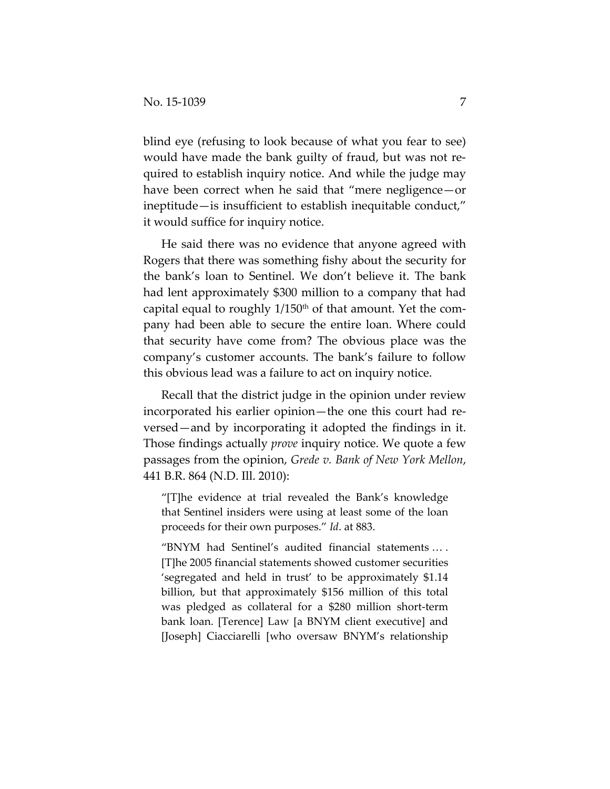blind eye (refusing to look because of what you fear to see) would have made the bank guilty of fraud, but was not required to establish inquiry notice. And while the judge may have been correct when he said that "mere negligence—or ineptitude—is insufficient to establish inequitable conduct," it would suffice for inquiry notice.

He said there was no evidence that anyone agreed with Rogers that there was something fishy about the security for the bank's loan to Sentinel. We don't believe it. The bank had lent approximately \$300 million to a company that had capital equal to roughly  $1/150<sup>th</sup>$  of that amount. Yet the company had been able to secure the entire loan. Where could that security have come from? The obvious place was the company's customer accounts. The bank's failure to follow this obvious lead was a failure to act on inquiry notice.

Recall that the district judge in the opinion under review incorporated his earlier opinion—the one this court had reversed—and by incorporating it adopted the findings in it. Those findings actually *prove* inquiry notice. We quote a few passages from the opinion, *Grede v. Bank of New York Mellon*, 441 B.R. 864 (N.D. Ill. 2010):

"[T]he evidence at trial revealed the Bank's knowledge that Sentinel insiders were using at least some of the loan proceeds for their own purposes." *Id*. at 883.

"BNYM had Sentinel's audited financial statements … . [T]he 2005 financial statements showed customer securities 'segregated and held in trust' to be approximately \$1.14 billion, but that approximately \$156 million of this total was pledged as collateral for a \$280 million short-term bank loan. [Terence] Law [a BNYM client executive] and [Joseph] Ciacciarelli [who oversaw BNYM's relationship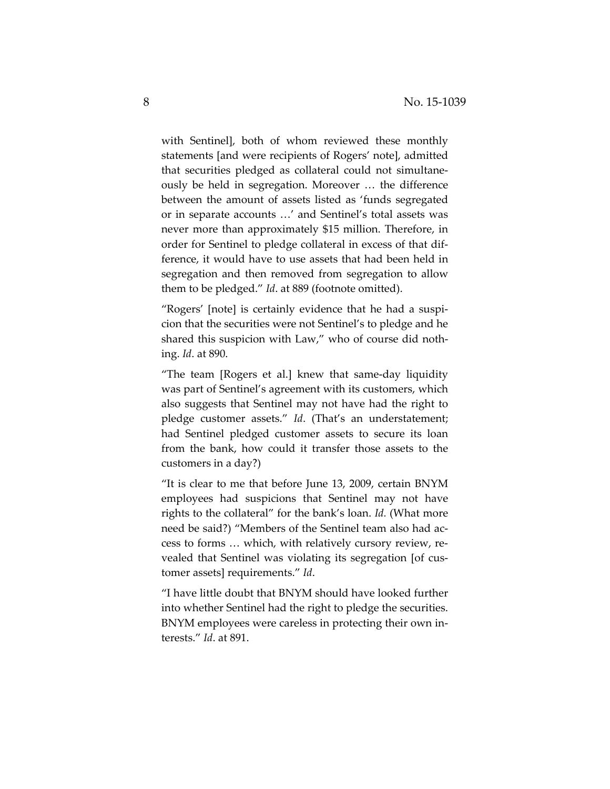with Sentinel], both of whom reviewed these monthly statements [and were recipients of Rogers' note], admitted that securities pledged as collateral could not simultaneously be held in segregation. Moreover … the difference between the amount of assets listed as 'funds segregated or in separate accounts …' and Sentinel's total assets was never more than approximately \$15 million. Therefore, in order for Sentinel to pledge collateral in excess of that difference, it would have to use assets that had been held in segregation and then removed from segregation to allow them to be pledged." *Id*. at 889 (footnote omitted).

"Rogers' [note] is certainly evidence that he had a suspicion that the securities were not Sentinel's to pledge and he shared this suspicion with Law," who of course did nothing. *Id*. at 890.

"The team [Rogers et al.] knew that same-day liquidity was part of Sentinel's agreement with its customers, which also suggests that Sentinel may not have had the right to pledge customer assets." *Id*. (That's an understatement; had Sentinel pledged customer assets to secure its loan from the bank, how could it transfer those assets to the customers in a day?)

"It is clear to me that before June 13, 2009, certain BNYM employees had suspicions that Sentinel may not have rights to the collateral" for the bank's loan. *Id.* (What more need be said?) "Members of the Sentinel team also had access to forms … which, with relatively cursory review, revealed that Sentinel was violating its segregation [of customer assets] requirements." *Id*.

"I have little doubt that BNYM should have looked further into whether Sentinel had the right to pledge the securities. BNYM employees were careless in protecting their own interests." *Id*. at 891.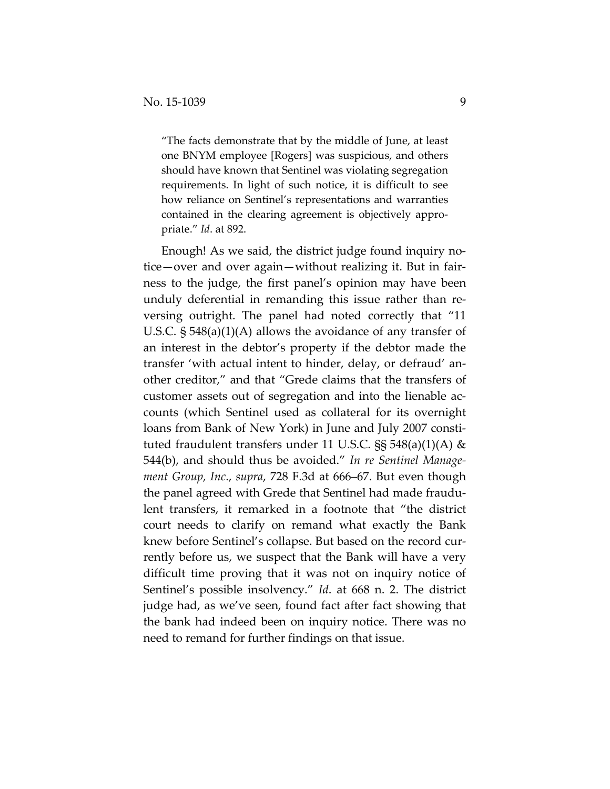"The facts demonstrate that by the middle of June, at least one BNYM employee [Rogers] was suspicious, and others should have known that Sentinel was violating segregation requirements. In light of such notice, it is difficult to see how reliance on Sentinel's representations and warranties contained in the clearing agreement is objectively appropriate." *Id*. at 892.

Enough! As we said, the district judge found inquiry notice—over and over again—without realizing it. But in fairness to the judge, the first panel's opinion may have been unduly deferential in remanding this issue rather than reversing outright. The panel had noted correctly that "11 U.S.C. § 548(a)(1)(A) allows the avoidance of any transfer of an interest in the debtor's property if the debtor made the transfer 'with actual intent to hinder, delay, or defraud' another creditor," and that "Grede claims that the transfers of customer assets out of segregation and into the lienable accounts (which Sentinel used as collateral for its overnight loans from Bank of New York) in June and July 2007 constituted fraudulent transfers under 11 U.S.C.  $\S$ § 548(a)(1)(A) & 544(b), and should thus be avoided." *In re Sentinel Management Group, Inc*., *supra*, 728 F.3d at 666–67. But even though the panel agreed with Grede that Sentinel had made fraudulent transfers, it remarked in a footnote that "the district court needs to clarify on remand what exactly the Bank knew before Sentinel's collapse. But based on the record currently before us, we suspect that the Bank will have a very difficult time proving that it was not on inquiry notice of Sentinel's possible insolvency." *Id*. at 668 n. 2. The district judge had, as we've seen, found fact after fact showing that the bank had indeed been on inquiry notice. There was no need to remand for further findings on that issue.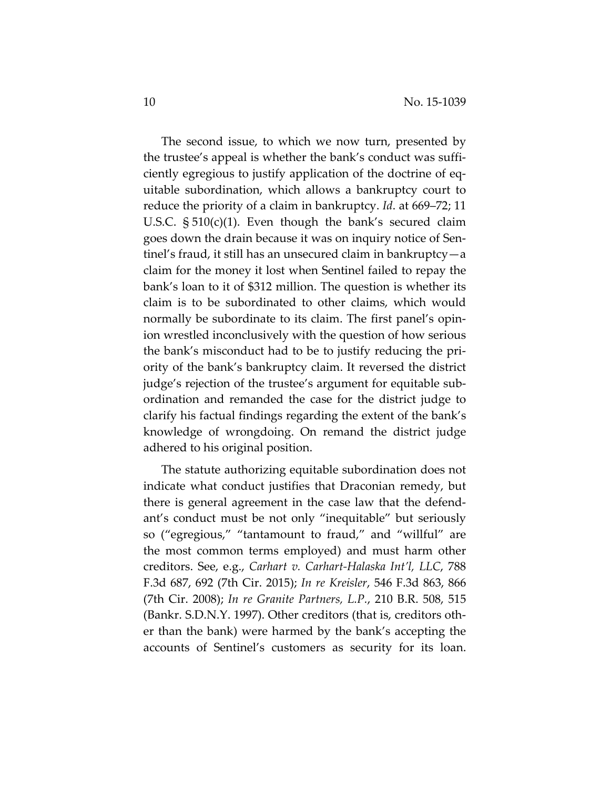The second issue, to which we now turn, presented by the trustee's appeal is whether the bank's conduct was sufficiently egregious to justify application of the doctrine of equitable subordination, which allows a bankruptcy court to reduce the priority of a claim in bankruptcy. *Id*. at 669–72; 11 U.S.C. § 510(c)(1). Even though the bank's secured claim goes down the drain because it was on inquiry notice of Sentinel's fraud, it still has an unsecured claim in bankruptcy—a claim for the money it lost when Sentinel failed to repay the bank's loan to it of \$312 million. The question is whether its claim is to be subordinated to other claims, which would normally be subordinate to its claim. The first panel's opinion wrestled inconclusively with the question of how serious the bank's misconduct had to be to justify reducing the priority of the bank's bankruptcy claim. It reversed the district judge's rejection of the trustee's argument for equitable subordination and remanded the case for the district judge to clarify his factual findings regarding the extent of the bank's knowledge of wrongdoing. On remand the district judge adhered to his original position.

The statute authorizing equitable subordination does not indicate what conduct justifies that Draconian remedy, but there is general agreement in the case law that the defendant's conduct must be not only "inequitable" but seriously so ("egregious," "tantamount to fraud," and "willful" are the most common terms employed) and must harm other creditors. See, e.g., *Carhart v. Carhart-Halaska Int'l, LLC*, 788 F.3d 687, 692 (7th Cir. 2015); *In re Kreisler*, 546 F.3d 863, 866 (7th Cir. 2008); *In re Granite Partners, L.P.*, 210 B.R. 508, 515 (Bankr. S.D.N.Y. 1997). Other creditors (that is, creditors other than the bank) were harmed by the bank's accepting the accounts of Sentinel's customers as security for its loan.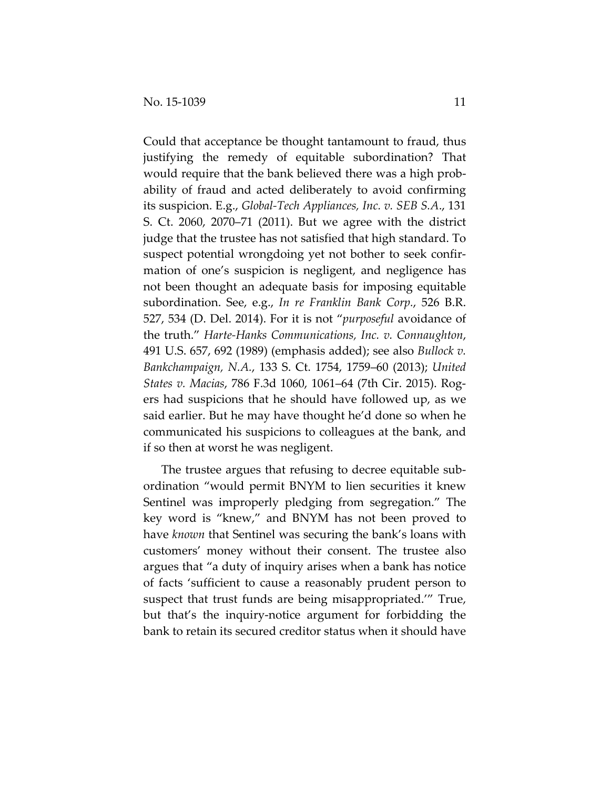Could that acceptance be thought tantamount to fraud, thus justifying the remedy of equitable subordination? That would require that the bank believed there was a high probability of fraud and acted deliberately to avoid confirming its suspicion. E.g., *Global-Tech Appliances, Inc. v. SEB S.A*., 131 S. Ct. 2060, 2070–71 (2011). But we agree with the district judge that the trustee has not satisfied that high standard. To suspect potential wrongdoing yet not bother to seek confirmation of one's suspicion is negligent, and negligence has not been thought an adequate basis for imposing equitable subordination. See, e.g., *In re Franklin Bank Corp.*, 526 B.R. 527, 534 (D. Del. 2014). For it is not "*purposeful* avoidance of the truth." *Harte-Hanks Communications, Inc. v. Connaughton*, 491 U.S. 657, 692 (1989) (emphasis added); see also *Bullock v. Bankchampaign, N.A.*, 133 S. Ct. 1754, 1759–60 (2013); *United States v. Macias*, 786 F.3d 1060, 1061–64 (7th Cir. 2015). Rogers had suspicions that he should have followed up, as we said earlier. But he may have thought he'd done so when he communicated his suspicions to colleagues at the bank, and if so then at worst he was negligent.

The trustee argues that refusing to decree equitable subordination "would permit BNYM to lien securities it knew Sentinel was improperly pledging from segregation." The key word is "knew," and BNYM has not been proved to have *known* that Sentinel was securing the bank's loans with customers' money without their consent. The trustee also argues that "a duty of inquiry arises when a bank has notice of facts 'sufficient to cause a reasonably prudent person to suspect that trust funds are being misappropriated.'" True, but that's the inquiry-notice argument for forbidding the bank to retain its secured creditor status when it should have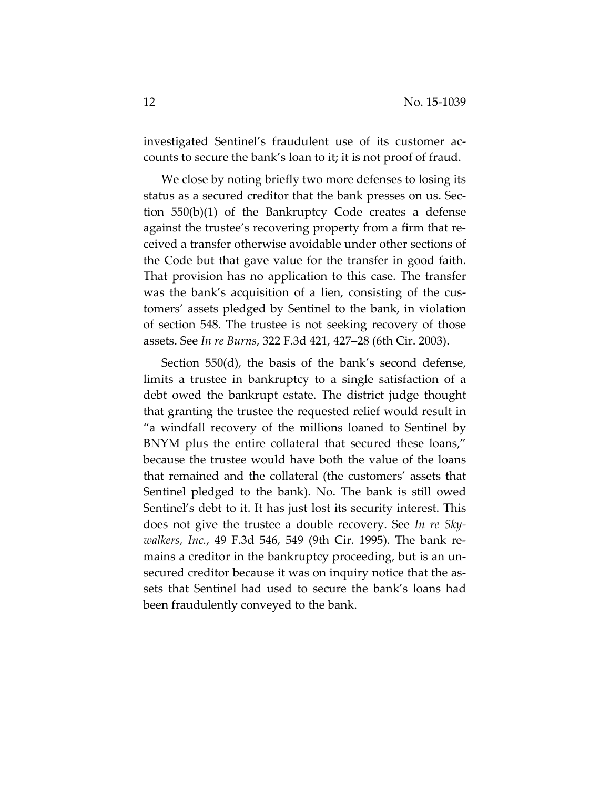investigated Sentinel's fraudulent use of its customer accounts to secure the bank's loan to it; it is not proof of fraud.

We close by noting briefly two more defenses to losing its status as a secured creditor that the bank presses on us. Section 550(b)(1) of the Bankruptcy Code creates a defense against the trustee's recovering property from a firm that received a transfer otherwise avoidable under other sections of the Code but that gave value for the transfer in good faith. That provision has no application to this case. The transfer was the bank's acquisition of a lien, consisting of the customers' assets pledged by Sentinel to the bank, in violation of section 548. The trustee is not seeking recovery of those assets. See *In re Burns*, 322 F.3d 421, 427–28 (6th Cir. 2003).

Section 550(d), the basis of the bank's second defense, limits a trustee in bankruptcy to a single satisfaction of a debt owed the bankrupt estate. The district judge thought that granting the trustee the requested relief would result in "a windfall recovery of the millions loaned to Sentinel by BNYM plus the entire collateral that secured these loans," because the trustee would have both the value of the loans that remained and the collateral (the customers' assets that Sentinel pledged to the bank). No. The bank is still owed Sentinel's debt to it. It has just lost its security interest. This does not give the trustee a double recovery. See *In re Skywalkers, Inc.*, 49 F.3d 546, 549 (9th Cir. 1995). The bank remains a creditor in the bankruptcy proceeding, but is an unsecured creditor because it was on inquiry notice that the assets that Sentinel had used to secure the bank's loans had been fraudulently conveyed to the bank.